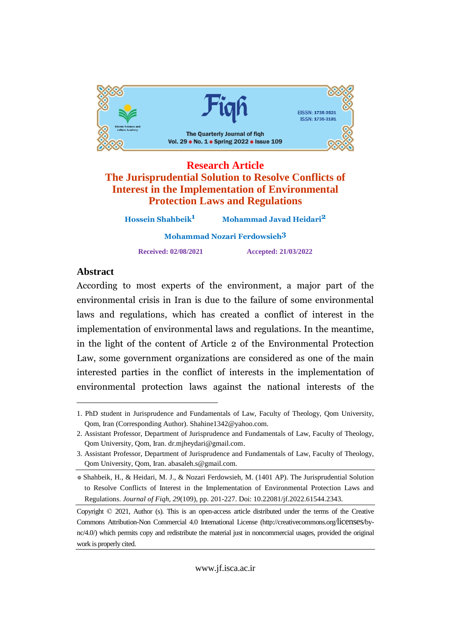

# **Research Article The Jurisprudential Solution to Resolve Conflicts of Interest in the Implementation of Environmental Protection Laws and Regulations**

**Hossein Shahbeik Mohammad Javad Heidari2 Mohammad Nozari Ferdowsieh Received: 02/08/2021 Accepted: 21/03/2022**

# Abstract

 to most experts of the environment, <sup>a</sup> major part of the recording to environmental crisis in Iran is due to the failure of some environmental laws and regulations, which has created a conflict of interest in the implementation of environmental laws and regulations. In the meantime, In the light of the content of Article 2 of the Environmental Protection Law, some government organizations are considered as one of the main parties in the conflict of interests in the implementation of micronica par environmental protection laws against the national interests of the

<sup>1.</sup> PhD student in Jurisprudence and Fundamentals of Law, Faculty of Theology, Qom University, Qom, Iran (Corresponding Author). [Shahine1342@yahoo.com.](mailto:Shahine1342@yahoo.com.)

<sup>2.</sup> Assistant Professor, Department of Jurisprudence and Fundamentals of Law, Faculty of Theology, Qom University, Qom, Iran. [dr.mjheydari@gmail.com](mailto:dr.mjheydari@gmail.com) 

<sup>3.</sup> Assistant Professor, Department of Jurisprudence and Fundamentals of Law, Faculty of Theology, Qom University, Qom, Iran. [abasaleh.s@gmail.com.](mailto:abasaleh.s@gmail.com.)

<sup>\*</sup> Shahbeik, H., & Heidari, M. J., & Nozari Ferdowsieh, M. (1401 AP). The Jurisprudential Solution to Resolve Conflicts of Interest in the Implementation of Environmental Protection Laws and Regulations. *Journal of Fiqh, 29*(109), pp. 201-227. Doi: 10.22081/jf.2022.61544.2343.

Copyright © 2021, Author (s). This is an open-access article distributed under the terms of the Creative Commons Attribution-Non Commercial 4.0 International License (http://creativecommons.org/licenses/by nc/4.0/) which permits copy and redistribute the material just in noncommercial usages, provided the original work is properly cited.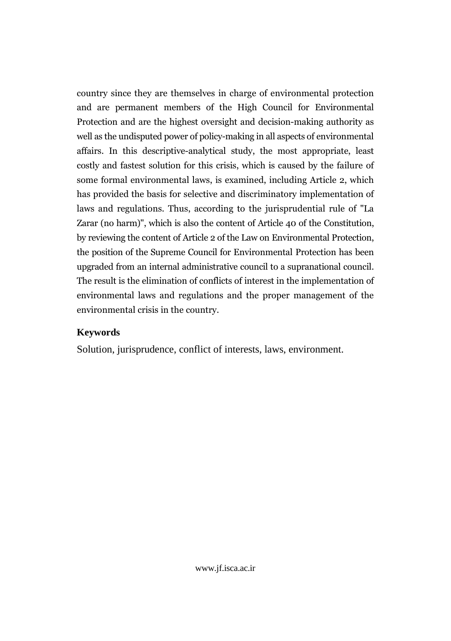country since they are themselves in charge of environmental protection and are permanent members of the High Council for Environmental and are the highest oversight and decision-making authority as  $1101$ as the undisputed power of policy-making in all aspects of environmental affairs. In this descriptive-analytical study, the most appropriate, least and fastest solution for this crisis, which is caused by the failure of somesome formal environmental laws, is examined, including Article 2, which has provided the basis for selective and discriminatory implementation of and regulations. Thus, according to the jurisprudential rule of "La iaws<br>... Zarar (no harm)", which is also the content of Article 40 of the Constitution, by reviewing the content of Article 2 of the Law on Environmental Protection, position of the Supreme Council for Environmental Protection has been une positi from an internal administrative council to a supranational council. result is the elimination of conflicts of interest in the implementation of laws and regulations and the proper management of the environmentalenvironmental crisis in the country.

# **Keywords**

Solution, jurisprudence, conflict of interests, laws, environment.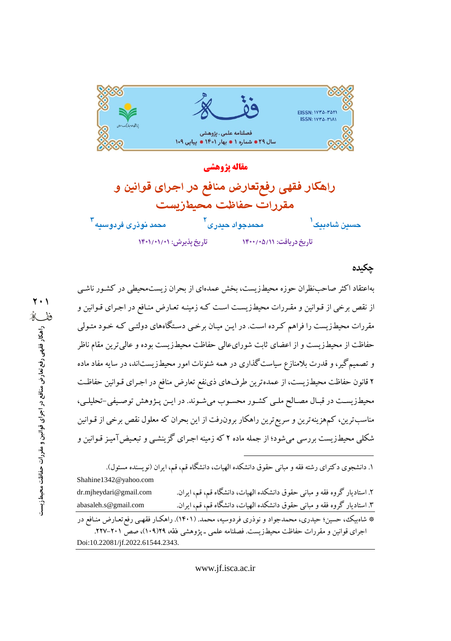

مقاله يژوهشي راهكار فقهى رفع تعارض منافع در اجراى قوانين و مقررات حفاظت محيطزيست محمد نوذری فردوسیه <sup>۳</sup> محمدجواد حيدري <sup>ا</sup> حسين شامبيک<sup>ا</sup> تاریخ دریافت: ١٢٠١/٥/١٢٠٠ تاريخ پذيرش: ١/٠١/٠١/٠١

#### حكىدە

بهاعتقاد اکثر صاحبنظران حوزه محیطزیست، بخش عمدهای از بحران زیستمحیطی در کشـور ناشـی از نقص برخی از قـوانین و مقـررات محیطـزیسـت اسـت کـه زمینـه تعـارض منـافع در اجـرای قـوانین و مقررات محیطزیست را فراهم کـرده اسـت. در ایـن میـان برخـی دسـتگاههای دولتـی کـه خـود متـولی حفاظت از محیطزیست و از اعضای ثابت شورایءالی حفاظت محیطزیست بوده و عالی ترین مقام ناظر و تصمیم گیر، و قدرت بلامنازع سیاست گذاری در همه شئونات امور محیطزیستاند، در سایه مفاد ماده ۲ قانون حفاظت محیطزیست، از عمده ترین طرفهای ذینفع تعارض منافع در اجـرای قـوانین حفاظـت محيطزيست در قبـال مصـالح ملـي كشـور محسـوب مي شـوند. در ايـن پـژوهش توصـيفي-تحليلـي، مناسب ترین، کمهرینه ترین و سریع ترین راهکار برون(فت از این بحران که معلول نقص برخی از قـوانین شکلی محیطزیست بررسی میشود؛ از جمله ماده ۲ که زمینه اجـرای گزینشـی و تبعـیض آمیـز قـوانین و

۱. دانشجوی دکترای رشته فقه و مبانی حقوق دانشکده الهبات، دانشگاه قم، قم، ایران (نو بسنده مسئول). Shahine1342@yahoo.com ۲. استادیار گروه فقه و مبانی حقوق دانشکده الهیات، دانشگاه قم، قم، ایران. dr.mjheydari@gmail.com ۳. استادیار گروه فقه و مبانی حقوق دانشکده الهیات، دانشگاه قم، قم، ایران. abasaleh.s@gmail.com \* شاهبیک، حسین؛ حیدری، محمدجواد و نوذری فردوسیه، محمد. (۱۴۰۱). راهکار فقهـی رفع تعـارض منـافع در اجرای قوانین و مقررات حفاظت محیطزیست. فصلنامه علمی ـ پژوهشی فقه، ۱۰۹/۱۲۹)، صص ۲۰۱–۲۲۷. Doi:10.22081/jf.2022.61544.2343.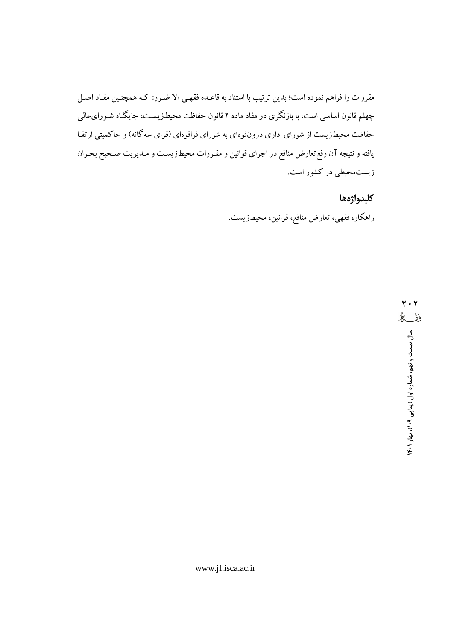مقررات را فراهم نموده است؛ بدین ترتیب با استناد به قاعـده فقهـی «لا ضـرر» کـه همچنـین مفـاد اصـل چهلم قانون اساسی است، با بازنگری در مفاد ماده ۲ قانون حفاظت محیطزیسـت، جایگـاه شـورایءالمی حفاظت محیطزیست از شورای اداری درونقوهای به شورای فراقوهای (قوای سهگانه) و حاکمیتی ارتقا یافته و نتیجه آن رفع تعارض منافع در اجرای قوانین و مقـررات محیطـزیسـت و مـدیریت صـحیح بحـران زیستمحیطی در کشور است.

كليدواژهها

راهکار، فقهی، تعارض منافع، قوانین، محیطزیست.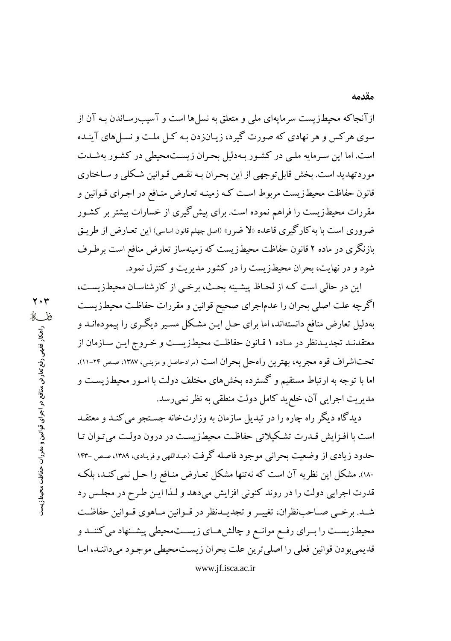از آنجاکه محیطزیست سرمایهای ملی و متعلق به نسل ها است و آسیب رساندن بـه آن از سوی هرکس و هر نهادی که صورت گیرد، زیـانزدن بـه کـل ملـت و نسـلهای آینـده است. اما این سرمایه ملبی در کشور بهدلیل بحران زیستمحیطی در کشور بهشدت موردتهدید است. بخش قابل توجهی از این بحران بـه نقـص قـوانین شـكلی و سـاختاری قانون حفاظت محیطزیست مربوط است کـه زمینـه تعـارض منـافع در اجـرای قـوانین و مقررات محیطزیست را فراهم نموده است. برای پیش گیری از خسارات بیشتر بر کشـور ضر وری است با به کارگیری قاعده «لا ضرر» (اصل چهلم قانون اساسی) این تعـارض از طریـق بازنگری در ماده ۲ قانون حفاظت محیطزیست که زمینهساز تعارض منافع است برطـرف شود و در نهایت، بحران محیطزیست را در کشور مدیریت و کنترل نمود.

این در حالی است کـه از لحـاظ پیشـینه بحـث، برخـی از کارشناسـان محیطزیسـت، اگرچه علت اصلی بحران را عدماجرای صحیح قوانین و مقررات حفاظت محیطزیست بهدلیل تعارض منافع دانستهاند، اما برای حـل ایـن مشـکل مسـیر دیگـری را پیمودهانــد و معتقدنـد تجديـدنظر در مـاده ١ قـانون حفاظـت محيطـزيسـت و خـروج ايـن سـازمان از تحتاشراف قوه مجریه، بهترین راهحل بحران است (مرادحاصل و مزینبی، ۱۳۸۷، صص ۲۴-۱۱). اما با توجه به ارتباط مستقیم و گسترده بخش های مختلف دولت با امـور محیطـزیسـت و مديريت اجرايي آن، خلع يد كامل دولت منطقي به نظر نمي رسد.

دیدگاه دیگر راه چاره را در تبدیل سازمان به وزارتخانه جستجو می کنـد و معتقـد است با افزایش قیدرت تشکیلاتی حفاظت محیطزیست در درون دولت می تبوان تبا حدود زیادی از وضعیت بحرانی موجود فاصله گرفت (عبداللهی و فریادی، ۱۳۸۹، صص –۱۴۳ ۱۸۰). مشکل این نظریه آن است که نهتنها مشکل تعـارض منـافع را حـل نمی کنـد، بلکـه قدرت اجرايي دولت را در روند كنوني افزايش مي دهد و لـذا ايـن طـر ح در مجلـس رد شــد. برخــي صــاحب:نظران، تغييــر و تجديــدنظر در قــوانين مــاهوي قــوانين حفاظــت محیطزیســت را بــرای رفــع موانــع و چالشهــای زیســتمحیطی پیشــنهاد می کننــد و قديمي بودن قوانين فعلي را اصلي ترين علت بحران زيست.محيطي موجود مي داننـد، امـا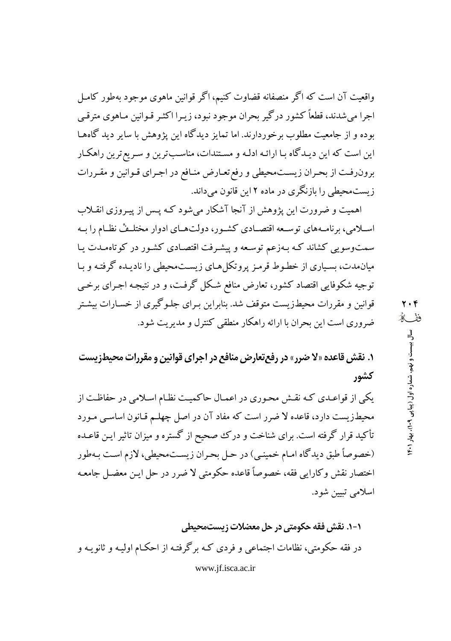واقعیت آن است که اگر منصفانه قضاوت کنیم، اگر قوانین ماهوی موجود بهطور کامل اجرا می شدند، قطعاً کشور در گیر بحران موجود نبود، زیبرا اکثیر قبوانین مباهوی مترقبی بوده و از جامعیت مطلوب برخوردارند. اما تمایز دیدگاه این پژوهش با سایر دید گاههـا این است که این دیـدگاه بـا ارائـه ادلـه و مسـتندات، مناسـبترین و سـریعترین راهکـار برون رفت از بحران زيست محيطي و رفع تعـارض منـافع در اجـراي قـوانين و مقـررات زیستمحیطی را بازنگری در ماده ۲ این قانون می داند.

اهمیت و ضرورت این پژوهش از آنجا آشکار میشود کـه پـس از پیـروزی انقـلاب اسـلامي، برنامـههاي توسـعه اقتصـادي كشـور، دولتهـاي ادوار مختلـفْ نظـام را بـه سمتوسویی کشاند کـه بـهزعم توسـعه و پیشـرفت اقتصـادی کشـور در کوتاهمـدت یـا میان.مدت، بسیاری از خطوط قرمز پروتکل هـای زیسـت.محیطی را نادیـده گرفتـه و بـا توجیه شکوفایی اقتصاد کشور، تعارض منافع شکل گرفت، و در نتیجه اجـرای برخـی قوانین و مقررات محیطزیست متوقف شد. بنابراین بـرای جلـوگیری از خسـارات بیشـتر ضروری است این بحران با ارائه راهکار منطقی کنترل و مدیریت شود.

**۱. نقش قاعده «لا ضرر» در رفع تعارض منافع در اجرای قوانین و مقررات محیطزیست** كشور

یکم از قواعـدی کـه نقـش محـوری در اعمـال حاکمیـت نظـام اسـلامی در حفاظـت از محیطزیست دارد، قاعده لا ضرر است که مفاد آن در اصل چهلـم قـانون اساسـی مـورد تأکید قرار گرفته است. برای شناخت و درک صحیح از گستره و میزان تاثیر ایـن قاعـده (خصوصاً طبق دیدگاه امـام خمینـی) در حـل بحـران زیسـتمحیطی، لازم اسـت بـهطور اختصار نقش وكارايي فقه، خصوصاً قاعده حكومتي لا ضرر در حل ايـن معضـل جامعـه اسلامي تبيين شود.

۱-۱. نقش فقه حکومتی در حل معضلات زیستمحیطی در فقه حکومتی، نظامات اجتماعی و فردی کـه برگرفتـه از احکـام اولیـه و ثانویـه و www.jf.isca.ac.ir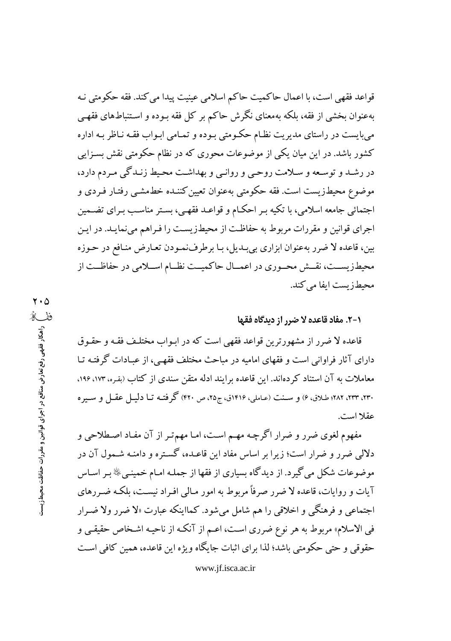قواعد فقهي است، با اعمال حاكميت حاكم اسلامي عينيت پيدا مي كند. فقه حكومتي نـه بهعنوان بخشی از فقه، بلکه بهمعنای نگرش حاکم بر کل فقه بـوده و اسـتنباطهای فقهـی می بایست در راستای مدیریت نظـام حکـومتی بـوده و تمـامی ابـواب فقـه نـاظر بـه اداره کشور باشد. در این میان یکی از موضوعات محوری که در نظام حکومتی نقش بسـزایی در رشـد و توسـعه و سـلامت روحـي و روانـي و بهداشـت محـيط زنـدگي مـردم دارد، موضوع محیطزیست است. فقه حکومتی بهعنوان تعیین کننـده خطـمشـبی رفتـار فـردی و اجتمائی جامعه اسلامی، با تکیه بـر احکـام و قواعـد فقهـی، بسـتر مناسـب بـرای تضـمین اجرای قوانین و مقررات مربوط به حفاظت از محیطزیست را فـراهم میفمایـد. در ایـن بین، قاعده لا ضرر بهعنوان ابزاری بی بدیل، بـا برطرفنمـودن تعـارض منـافع در حـوزه محیطزیســت، نقــش محــوری در اعمــال حاکمیــت نظــام اســلامی در حفاظــت از محيطزيست ايفا مي كند.

### ١-٢. مفاد قاعده لا ضرر از ديدگاه فقها

قاعده لا ضرر از مشهورترین قواعد فقهی است که در ابواب مختلـف فقـه و حقـوق دارای آثار فراوانی است و فقهای امامیه در مباحث مختلف فقهـی، از عبـادات گرفتـه تـا معاملات به آن استناد کردهاند. این قاعده برایند ادله متقن سندی از کتاب (بقره، ۱۷۳، ۱۹۶، ۲۳۰، ۲۳۲، ۲۸۲؛ طلاق، ۶) و سنت (عاملي، ۱۴۱۶ق، ج۲۵، ص ۴۲۰) گرفتـه تـا دليـل عقـل و سـيره عقلا است.

مفهوم لغوی ضرر و ضرار اگرچه مهـم اسـت، امـا مهمتـر از آن مفـاد اصـطلاحي و دلالی ضرر و ضرار است؛ زیرا بر اساس مفاد این قاعـده، گسـتره و دامنـه شـمول آن در موضوعات شکل می گیرد. از دیدگاه بسیاری از فقها از جملـه امـام خمینـیﷺ بـر اسـاس آیات و روایات، قاعده لا ضرر صرفاً مربوط به امور مـالی افـراد نیسـت، بلکـه ضـررهای اجتماعي و فرهنگي و اخلاقي را هم شامل ميشود. كمااينكه عبارت «لا ضرر ولا ضـرار في الاسلام» مربوط به هر نوع ضرري است، اعـم از آنكـه از ناحيـه اشـخاص حقيقـي و حقوقی و حتی حکومتی باشد؛ لذا برای اثبات جایگاه ویژه این قاعده، همین کافی است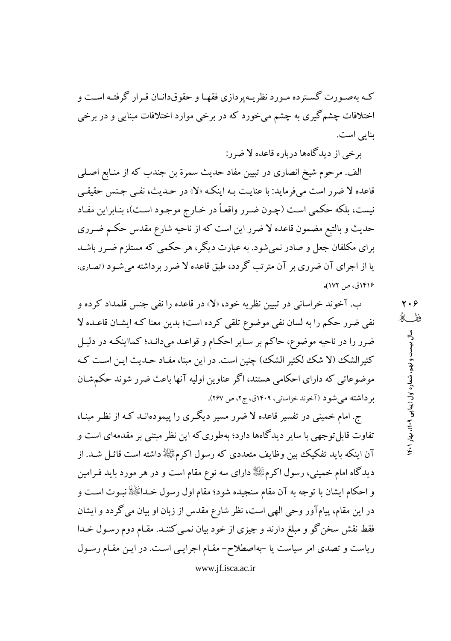کـه بهصـورت گسـترده مـورد نظریـهیردازی فقهـا و حقوقدانـان قـرار گرفتـه اسـت و اختلافات چشم گیری به چشم میخورد که در برخی موارد اختلافات مبنایی و در برخی بنايي است.

برخي از ديدگاهها درباره قاعده لا ضرر:

الف. مرحوم شيخ انصاري در تبيين مفاد حديث سمرة بن جندب كه از منـابع اصـلي قاعده لا ضرر است می فرماید: با عنایت بـه اینکـه «لا» در حـدیث، نفـی جـنس حقیقـی نيست، بلكه حكمي است (چـون ضـرر واقعـاً در خـارج موجـود اسـت)، بنـابراين مفـاد حدیث و بالتبع مضمون قاعده لا ضرر این است که از ناحیه شارع مقدس حکـم ضـرری برای مکلفان جعل و صادر نمیشود. به عبارت دیگر، هر حکمی که مستلزم ضـرر باشـد یا از اجرای آن ضرری بر آن مترتب گردد، طبق قاعده لا ضرر برداشته می شـود (انصـاری، ۱۴۱۶ق، ص ۱۷۲).

ب. آخوند خراساني در تبيين نظريه خود، «لا» در قاعده را نفي جنس قلمداد كرده و نفی ضرر حکم را به لسان نفی موضوع تلقی کرده است؛ بدین معنا کـه ایشـان قاعـده لا ضرر را در ناحیه موضوع، حاکم بر سـایر احکـام و قواعـد میدانـد؛ کمااینکـه در دلیـل كثيرالشك (لا شك لكثير الشك) چنين است. در اين مبنا، مفـاد حـديث ايـن اسـت كـه موضوعاتی که دارای احکامی هستند، اگر عناوین اولیه آنها باعث ضرر شوند حکمشان بر داشته می شود (آخوند خزاسانی، ۱۴۰۹ق، ج۲، ص ۲۶۷).

ج. امام خمینی در تفسیر قاعده لا ضرر مسیر دیگری را پیمودهانـد کـه از نظـر مبنـا، تفاوت قابل توجهی با سایر دیدگاهها دارد؛ بهطوری که این نظر مبتنی بر مقدمهای است و آن اینکه باید تفکیک بین وظایف متعددی که رسول اکرمﷺ داشته است قائـل شـد. از دیدگاه امام خمینی، رسول اکرمﷺ دارای سه نوع مقام است و در هر مورد باید فـرامین و احکام ایشان با توجه به آن مقام سنجیده شود؛ مقام اول رسول خـداﷺ نبـوت اسـت و در این مقام، پیامآور وحی الهی است، نظر شارع مقدس از زبان او بیان می گردد و ایشان فقط نقش سخن گو و مبلغ دارند و چیزی از خود بیان نمـی کننـد. مقـام دوم رسـول خـدا ریاست و تصدی امر سیاست یا -بهاصطلاح- مقـام اجرایـی اسـت. در ایـن مقـام رسـول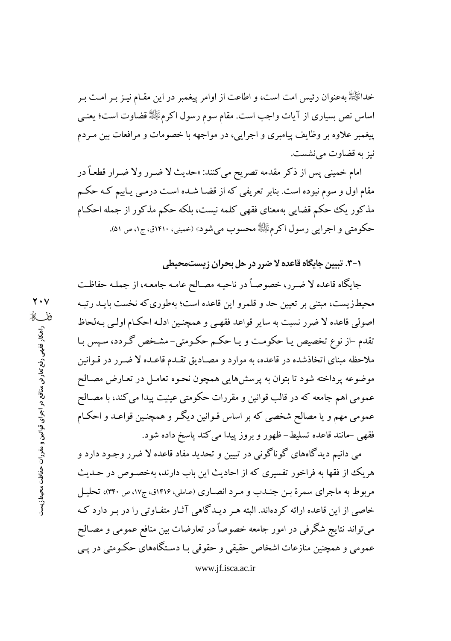خداﷺ بهعنوان رئيس امت است، و اطاعت از اوامر پيغمبر در اين مقـام نيـز بـر امـت بـر اساس نص بسیاری از آیات واجب است. مقام سوم رسول اکرمﷺ قضاوت است؛ یعنـی پیغمبر علاوه بر وظایف پیامبری و اجرایی، در مواجهه با خصومات و مرافعات بین مـردم نيز به قضاوت مي نشست.

امام خمینی پس از ذکر مقدمه تصریح میکنند: «حدیث لا ضـرر ولا ضـرار قطعـاً در مقام اول و سوم نبوده است. بنابر تعریفی که از قضـا شـده اسـت درمـی یـابیم کـه حکـم مذکور یک حکم قضایی بهمعنای فقهی کلمه نیست، بلکه حکم مذکور از جمله احکـام حکومتی و اجرایی رسول اکرمﷺ محسوب میشود» (حمینی، ۱۴۱۰ق، ج۱، ص ۵۱).

۰-۳. تبیین جایگاه قاعده لا ضرر در حل بحران زیستمحیطی

جايگاه قاعده لا ضـرر، خصوصـاً در ناحيـه مصـالح عامـه جامعـه، از جملـه حفاظـت محیطزیست، مبتنی بر تعیین حد و قلمرو این قاعده است؛ بهطوری که نخست بایـد رتبـه اصولي قاعده لا ضرر نسبت به ساير قواعد فقهبي و همچنـين ادلـه احكـام اولـي بـهلحاظ تقدم –از نوع تخصیص یـا حکومـت و یـا حکـم حکـومتی- مشـخص گـردد، سـپس بـا ملاحظه مبنای اتخاذشده در قاعده، به موارد و مصـادیق تقـدم قاعـده لا ضـرر در قـوانین موضوعه پرداخته شود تا بتوان به پرسشهایی همچون نحـوه تعامـل در تعـارض مصـالح عمومی اهم جامعه که در قالب قوانین و مقررات حکومتی عینیت پیدا می کند، با مصـالح عمومی مهم و یا مصالح شخصی که بر اساس قـوانین دیگـر و همچنـین قواعـد و احکـام فقهی -مانند قاعده تسلیط-ظهور و بروز پیدا می کند پاسخ داده شود.

می دانیم دیدگاههای گوناگونی در تبیین و تحدید مفاد قاعده لا ضرر وجـود دارد و هریک از فقها به فراخور تفسیری که از احادیث این باب دارند، بهخصـوص در حــدیث مربوط به ماجراي سمرة بـن جنـدب و مـرد انصـاري (عـاملي، ١٤١۶ق، ج١٧، ص ٣۴٠)، تحليـل خاصی از این قاعده ارائه کردهاند. البته هـر دیـدگاهی آثـار متفـاوتی را در بـر دارد کـه میتواند نتایج شگرفی در امور جامعه خصوصاً در تعارضات بین منافع عمومی و مصـالح عمومی و همچنین منازعات اشخاص حقیقی و حقوقی بـا دسـتگاههای حکـومتی در یـی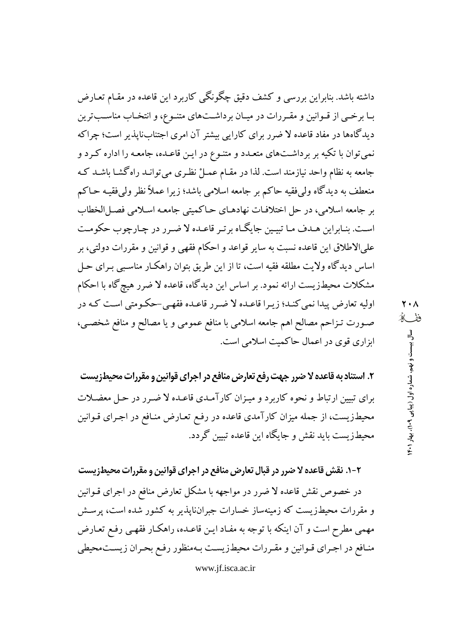داشته باشد. بنابراین بررسی و کشف دقیق چگونگی کاربرد این قاعده در مقـام تعـارض بـا برخــی از قــوانین و مقــررات در میــان برداشــتهای متنــوع، و انتخــاب مناســبترین دیدگاهها در مفاد قاعده لا ضرر برای کارایی بیشتر آن امری اجتنابناپذیر است؛ چراکه نمی توان با تکیه بر برداشتهای متعـدد و متنـوع در ایـن قاعـده، جامعـه را اداره کـرد و جامعه به نظام واحد نیازمند است. لذا در مقـام عمـلْ نظـری می توانـد راه گشـا باشـد کـه منعطف به دیدگاه ولی فقیه حاکم بر جامعه اسلامی باشد؛ زیرا عملاً نظر ولی فقیـه حـاکم بر جامعه اسلامی، در حل اختلافات نهادهـاي حـاكميتي جامعـه اسـلامي فصـلالخطاب است. بنـابراين هـدف مـا تبيـين جايگـاه برتـر قاعـده لا ضـرر در چـارچوب حكومـت علىالاطلاق اين قاعده نسبت به ساير قواعد و احكام فقهى و قوانين و مقررات دولتي، بر اساس دیدگاه ولایت مطلقه فقیه است، تا از این طریق بتوان راهکار مناسبی بـرای حـل مشکلات محیطزیست ارائه نمود. بر اساس این دیدگاه، قاعده لا ضرر هیچ گاه با احکام اولیه تعارض پیدا نمی کنـد؛ زیـرا قاعـده لا ضـرر قاعـده فقهـی-حکـومتی اسـت کـه در صورت تـزاحم مصالح اهم جامعه اسلامي با منافع عمومي و يا مصالح و منافع شخصـي، ابزاری قوی در اعمال حاکمیت اسلامی است.

۲. استناد به قاعده لا ضرر جهت رفع تعارض منافع در اجراي قوانين و مقررات محيطزيست برای تبیین ارتباط و نحوه کاربرد و میـزان کارآمـدی قاعـده لا ضـرر در حـل معضـلات محیطزیست، از جمله میزان کارآمدی قاعده در رفع تعـارض منـافع در اجـرای قـوانین محیطزیست باید نقش و جایگاه این قاعده تبیین گردد.

۲-۱. نقش قاعده لا ضرر در قبال تعارض منافع در اجراي قوانين و مقررات محيطزيست در خصوص نقش قاعده لا ضرر در مواجهه با مشکل تعارض منافع در اجرای قـوانین و مقررات محیطزیست که زمینهساز خسارات جبران،ایذیر به کشور شده است، پرســش مهمی مطرح است و آن اینکه با توجه به مفـاد ایـن قاعـده، راهکـار فقهـی رفـع تعـارض منافع در اجراي قـوانين و مقـررات محيطـزيسـت بـهمنظور رفـع بحـران زيسـتمحيطي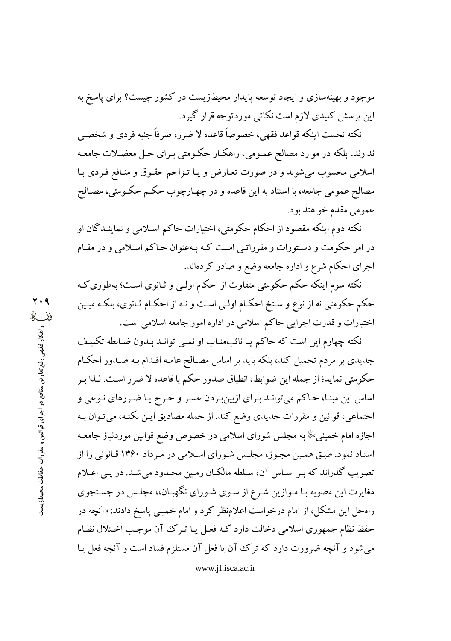موجود و بهینهسازی و ایجاد توسعه پایدار محیطزیست در کشور چیست؟ برای پاسخ به این پرسش کلیدی لازم است نکاتی موردتوجه قرار گیرد.

نكته نخست اينكه قواعد فقهي، خصوصاً قاعده لا ضرر، صرفاً جنبه فردي و شخصبي ندارند، بلکه در موارد مصالح عمـومي، راهکـار حکـومتي بـراي حـل معضـلات جامعـه اسلامي محسوب مي شوند و در صورت تعـارض و يـا تـزاحم حقـوق و منـافع فـردي بـا مصالح عمومی جامعه، با استناد به این قاعده و در چهـارچوب حکـم حکـومتی، مصـالح عمومي مقدم خواهند بود.

نکته دوم اینکه مقصود از احکام حکومتی، اختیارات حاکم اسـلامی و نماینـدگان او در امر حکومت و دستورات و مقرراتبی است کـه بـهعنوان حـاکم اسـلامی و در مقـام اجرای احکام شرع و اداره جامعه وضع و صادر کردهاند.

نکته سوم اینکه حکم حکومتی متفاوت از احکام اولـی و ثـانوی اسـت؛ بهطوری کـه حکم حکومتی نه از نوع و سـنخ احکـام اولـی اسـت و نـه از احکـام ثـانوی، بلکـه مبـین اختیارات و قدرت اجرایی حاکم اسلامی در اداره امور جامعه اسلامی است.

نکته چهارم این است که حاکم یـا نائبمنـاب او نمـی توانـد بـدون ضـابطه تکلیـف جدیدی بر مردم تحمیل کند، بلکه باید بر اساس مصـالح عامـه اقـدام بـه صـدور احکـام حکومتی نماید؛ از جمله این ضوابط، انطباق صدور حکم با قاعده لا ضرر است. لـذا بـر اساس این مبنـا، حـاکم میتوانـد بـرای ازبینبـردن عسـر و حـرج یـا ضـررهای نـوعی و اجتماعی، قوانین و مقررات جدیدی وضع کند. از جمله مصادیق ایـن نکتـه، میتـوان بـه اجازه امام خمینبیﷺ به مجلس شورای اسلامی در خصوص وضع قوانین موردنیاز جامعـه استناد نمود. طبـق همـین مجـوز، مجلـس شـورای اسـلامی در مـرداد ۱۳۶۰ قـانونی را از تصویب گذراند که بر اساس آن، سلطه مالکان زمین محدود میشد. در یبی اعلام مغایرت این مصوبه بـا مـوازین شـرع از سـوی شـورای نگهبـان،، مجلـس در جسـتجوی راه حل این مشکل، از امام درخواست اعلامنظر کرد و امام خمینی پاسخ دادند: «آنچه در حفظ نظام جمهوری اسلامی دخالت دارد کـه فعـل یـا تـرک آن موجـب اخـتلال نظـام می شود و آنچه ضرورت دارد که ترک آن یا فعل آن مستلزم فساد است و آنچه فعل پیا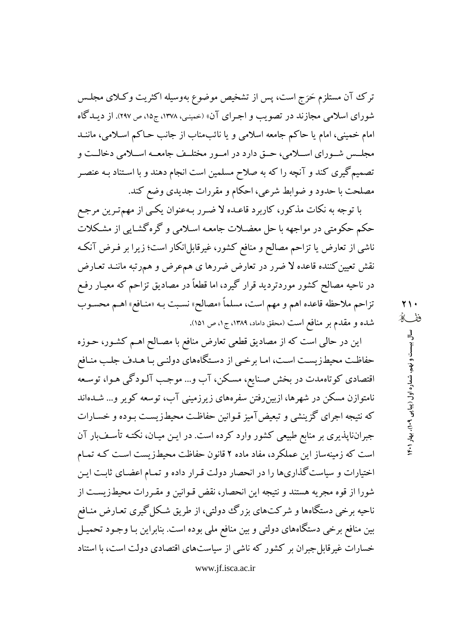ترک آن مستلزم حَرَج است، پس از تشخیص موضوع بهوسیله اکثریت وکلای مجلـس شورای اسلامی مجازند در تصویب و اجـرای آن» (خمینی، ۱۳۷۸، ج۱۵، ص ۲۹۷). از دیـدگاه امام خمینی، امام یا حاکم جامعه اسلامی و یا نائبمناب از جانب حـاکم اسـلامی، ماننـد مجلـــس شــوراي اســـلامي، حــق دارد در امــور مختلــف جامعــه اســـلامي دخالــت و تصمیم گیری کند و آنچه را که به صلاح مسلمین است انجام دهند و با اسـتناد بـه عنصـر مصلحت با حدود و ضوابط شرعي، احكام و مقررات جديدي وضع كند.

با توجه به نکات مذکور، کاربرد قاعـده لا ضـرر بـهعنوان یکـي از مهمترین مرجـع حکم حکومتی در مواجهه با حل معضـلات جامعـه اسـلامی و گرهگشـایی از مشـکلات ناشی از تعارض یا تزاحم مصالح و منافع کشور، غیرقابل!نکار است؛ زیرا بر فـرض آنکـه نقش تعیین کننده قاعده لا ضرر در تعارض ضررها ی همءرض و همرتبه ماننـد تعـارض در ناحیه مصالح کشور موردتردید قرار گیرد، اما قطعاً در مصادیق تزاحم که معیـار رفـع تزاحم ملاحظه قاعده اهم و مهم است، مسلماً «مصالح» نسبت بـه «منـافع» اهـم محسـوب شده و مقدم بر منافع است (محقق داماد، ۱۳۸۹، ج۱، ص ۱۵۱).

این در حالی است که از مصادیق قطعی تعارض منافع با مصـالح اهـم کشـور، حـوزه حفاظت محیطزیست است، اما برخمی از دستگاههای دولنمی با هـدف جلب منـافع اقتصادی کوتاهمدت در بخش صـنایع، مسـکن، آب و… موجـب آلـودگـی هـوا، توسـعه نامتوازن مسکن در شهرها، ازبینِ رفتن سفرههای زیرزمینی آب، توسعه کویر و… شـدهاند که نتیجه اجرای گزینشی و تبعیضآمیز قـوانین حفاظـت محیطـزیسـت بـوده و خسـارات جبرانناپذیری بر منابع طبیعی کشور وارد کرده است. در ایـن میـان، نکتـه تأسـف بار آن است که زمینهساز این عملکرد، مفاد ماده ۲ قانون حفاظت محیطزیست است کـه تمـام اختیارات و سیاست گذاریها را در انحصار دولت قـرار داده و تمـام اعضـای ثابـت ایـن شورا از قوه مجريه هستند و نتيجه اين انحصار، نقض قـوانين و مقـررات محيطـزيسـت از ناحیه برخی دستگاهها و شرکتهای بزرگ دولتی، از طریق شکل گیری تعـارض منـافع بین منافع برخی دستگاههای دولتی و بین منافع ملی بوده است. بنابراین بـا وجـود تحمیـل خسارات غیرقابل جبران بر کشور که ناشی از سیاستهای اقتصادی دولت است، با استناد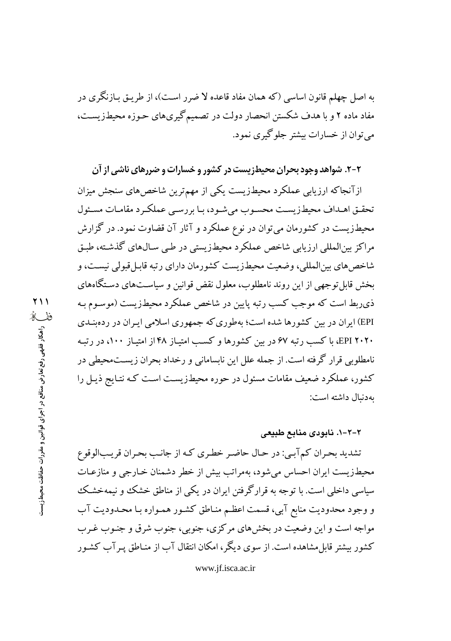به اصل چهلم قانون اساسی (که همان مفاد قاعده لا ضرر است)، از طریـق بـازنگری در مفاد ماده ۲ و با هدف شکستن انحصار دولت در تصمیم گیریهای حـوزه محیطـزیسـت، مي توان از خسارات بيشتر جلوگيري نمود.

۲-۲. شواهد وجود بحران محیطزیست در کشور و خسارات و صررهای ناشی از آن

ازآنجاکه ارزیابی عملکرد محیطزیست یکی از مهمترین شاخصهای سنجش میزان تحقـق اهـداف محيطـزيسـت محسـوب مىشـود، بـا بررسـى عملكـرد مقامـات مسـئول محیطزیست در کشورمان میتوان در نوع عملکرد و آثار آن قضاوت نمود. در گزارش مراکز بینالمللی ارزیابی شاخص عملکرد محیطزیستی در طـی سـال۵ای گذشـته، طبـق شاخصهای بینالمللی، وضعیت محیطزیست کشورمان دارای رتبه قابـ| قبولی نیسـت، و بخش قابل توجهی از این روند نامطلوب، معلول نقض قوانین و سیاستهای دستگاههای ذي ربط است كه موجب كسب رتبه پايين در شاخص عملكرد محيطزيست (موسـوم بـه EPI) ایران در بین کشورها شده است؛ بهطوری که جمهوری اسلامی ایـران در ردهبنـدی ۲۰۲۰ EPI، با کسب رتبه ۶۷ در بین کشورها و کسب امتیـاز ۴۸ از امتیـاز ۱۰۰، در رتبـه نامطلوبی قرار گرفته است. از جمله علل این نابسامانی و رخداد بحران زیست.محیطی در کشور، عملکرد ضعیف مقامات مسئول در حوره محیطزیست است کـه نتـایج ذیـل را به دنبال داشته است:

## ۲-۲-۱. نابودی منابع طبیعی

تشدید بحران کمآبے: در حال حاضر خطری که از جانب بحران قریبالوقوع محیطزیست ایران احساس می شود، بهمراتب بیش از خطر دشمنان خـارجی و منازعـات سیاسی داخلی است. با توجه به قرارگرفتن ایران در یکی از مناطق خشک و نیمهخشک و وجود محدودیت منابع آبی، قسمت اعظـم منـاطق کشـور همـواره بـا محـدودیت آب مواجه است و این وضعیت در بخشهای مرکزی، جنوبی، جنوب شرق و جنـوب غـرب کشور بیشتر قابل مشاهده است. از سوی دیگر، امکان انتقال آب از منـاطق پـر آب کشـور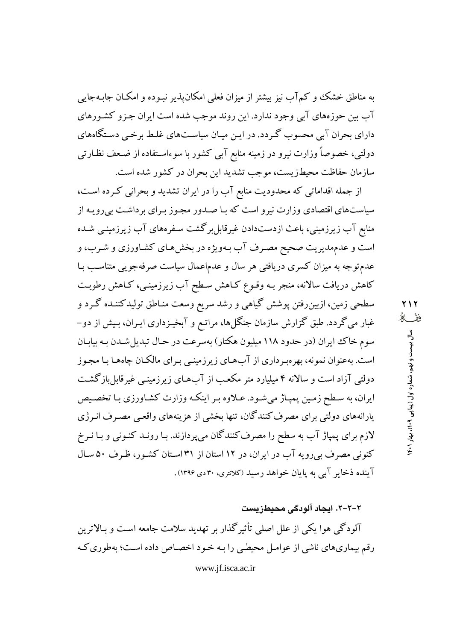به مناطق خشک و کم آب نیز بیشتر از میزان فعلی امکان پذیر نبـوده و امکـان جابـهجایی آب پین حوزههای آبی وجود ندارد. این روند موجب شده است ایران جـزو کشـورهای دارای بحران آبی محسوب گـردد. در ایـن میـان سیاسـتهای غلـط برخـی دسـتگاههای دولتی، خصوصاً وزارت نیرو در زمینه منابع آبی کشور با سوءاسـتفاده از ضـعف نظـارتی سازمان حفاظت محیطزیست، موجب تشدید این بحران در کشور شده است.

از جمله اقداماتی که محدودیت منابع آب را در ایران تشدید و بحرانی کـرده اسـت، سیاستهای اقتصادی وزارت نیرو است که بـا صـدور مجـوز بـرای برداشـت بی رویـه از منابع آب زیرزمینی، باعث ازدستدادن غیرقابل برگشت سـفرههای آب زیرزمینـی شـده است و عدمهدیریت صحیح مصـرف آب بـهویژه در بخشهـای کشـاورزی و شـرب، و عدمتوجه به میزان کسری دریافتی هر سال و عدماعمال سیاست صرفهجویی متناسب بـا کاهش دریافت سالانه، منجر بـه وقـوع کـاهش سـطح آب زیرزمینـی، کـاهش رطوبـت سطحی زمین، ازبینِ رفتن پوشش گیاهی و رشد سریع وسعت منـاطق تولیدکننـده گـرد و غبار میگردد. طبق گزارش سازمان جنگل(ها، مراتـع و آبخیـزداری ایـران، بـیش از دو– سوم خاک ایران (در حدود ۱۱۸ میلیون هکتار) بهسرعت در حـال تبدیل شـدن بـه بیابـان است. بهعنوان نمونه، بهرهبرداري از آبهاي زيرزمينـي بـراي مالكـان چاههـا بـا مجـوز دولتی آزاد است و سالانه ۴ میلیارد متر مکعب از آبهای زیرزمینبی غیرقابل بازگشت ایران، به سطح زمین پمپاژ میشود. عـلاوه بـر اینکـه وزارت کشـاورزی بـا تخصـیص پارانههای دولتی برای مصرف کنندگان، تنها بخشی از هزینههای واقعبی مصـرف انـرژی لازم برای پمپاژ آب به سطح را مصرف کنندگان میپردازند. بـا رونـد کنـونی و بـا نـرخ کنونی مصرف بی رویه آب در ایران، در ۱۲ استان از ۳۱ استان کشور، ظرف ۵۰ سال آینده ذخایر آبی به پایان خواهد رسید (کلانتری، ۳۰دی ۱۳۹۶).

۲-۲-۲. ایجاد آلودگی محیطزیست

آلودگی هوا یکی از علل اصلی تأثیرگذار بر تهدید سلامت جامعه است و بـالاترین رقم بیماریهای ناشی از عوامـل محیطـی را بـه خـود اخصـاص داده اسـت؛ بهطوری کـه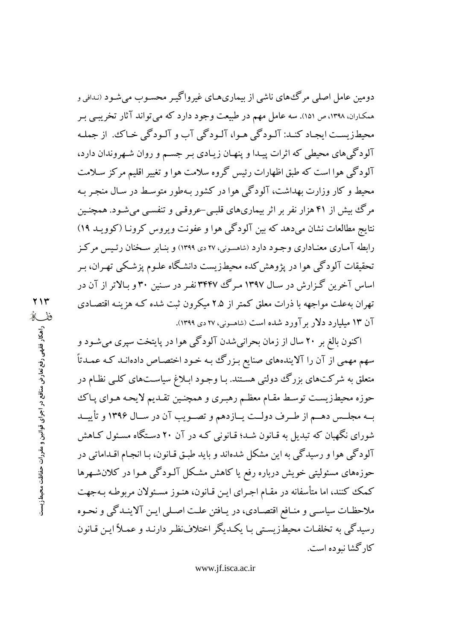دومین عامل اصلی مرگ های ناشی از بیماری هـای غیرواگیـر محسـوب می شـود (نـدافی و همکاران، ۱۳۹۸، ص ۱۵۱). سه عامل مهم در طبیعت وجود دارد که می تواند آثار تخریبی بـر محيطزيست ايجـاد كنـد: آلـودگي هـوا، آلـودگي آب و آلـودگي خـاکـُ. از جملـه آلو دگی های محیطی که اثرات پیـدا و پنهـان زیـادی بـر جسـم و روان شـهروندان دارد، آلودگی هوا است که طبق اظهارات رئیس گروه سلامت هوا و تغییر اقلیم مرکز سـلامت محیط و کار وزارت بهداشت، آلودگی هوا در کشور بـهطور متوسـط در سـال منجـر بـه مرگ بیش از ۴۱ هزار نفر بر اثر بیماریهای قلبـی-عروقـی و تنفسـی میشـود. همچنـین نتایج مطالعات نشان میدهد که بین آلودگی هوا و عفونت ویروس کرونـا (کوویـد ۱۹) رابطه آمـاري معنـاداري وجـود دارد (شاهسـوني، ٢٧ دي ١٣٩٩) و بنـابر سـخنان رئـيس مركـز تحقیقات آلودگی هوا در یژوهش کده محیطزیست دانشگاه علـوم پزشـکی تهـران، بـر اساس آخرین گزارش در سـال ۱۳۹۷ مـرگ ۳۴۴۷نفـر در سـنین ۳۰ و بـالاتر از آن در تهران بهعلت مواجهه با ذرات معلق کمتر از ۲.۵ میکرون ثبت شده کـه هزینـه اقتصـادی آن ۱۳ میلیارد دلار بر آورد شده است (شاهسونی، ۲۷ دی ۱۳۹۹).

اکنون بالغ بر ۲۰ سال از زمان بحرانی شدن آلودگی هوا در پایتخت سپری می شـود و سهم مهمی از آن را آلایندههای صنایع بـزرگ بـه خـود اختصـاص دادهانـد کـه عمـدتاً متعلق به شرکتهای بزرگ دولتی هستند. بـا وجـود ابـلاغ سیاسـتهای کلـی نظـام در حوزه محيطزيست توسط مقـام معظـم رهبـري و همچنـين تقـديم لايحـه هـواي پـاك بـه مجلـس دهـم از طـرف دولـت يـازدهم و تصـويب آن در سـال ۱۳۹۶ و تأييــد شورای نگهبان که تبدیل به قـانون شـد؛ قـانونی کـه در آن ۲۰ دسـتگاه مسـئول کـاهش آلودگي هوا و رسيدگي به اين مشكل شدهاند و بايد طبـق قـانون، بـا انجـام اقـداماتي در حوزههای مسئولیتی خویش درباره رفع یا کاهش مشکل آلـودگی هـوا در کلانشـهرها كمك كنند، اما متأسفانه در مقـام اجـراي ايـن قـانون، هنـوز مسـئولان مربوطـه بـهجهت ملاحظـات سياسـي و منـافع اقتصـادي، در يـافتن علـت اصـلي ايـن آلاينـدگي و نحـوه رسیدگی به تخلفات محیطزیستی بـا یکـدیگر اختلافنظـر دارنـد و عمـلاً ایـن قـانون کار گشا نبو ده است.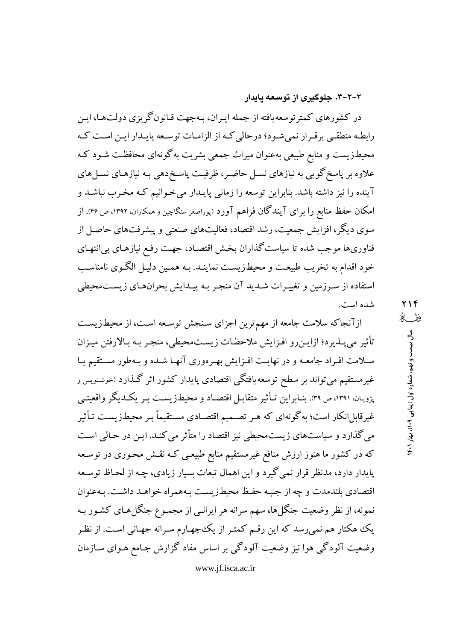### ۲-۲-۳. جلوگیری از توسعه یایدار

در کشورهای کمتر توسعه یافته از جمله ایـران، بـهجهت قـانونگریزی دولتهـا، ایـن رابطـه منطقـی برقـرار نمی شـود؛ درحالی کـه از الزامـات توسـعه پايـدار ايـن اسـت کـه محیطزیست و منابع طبیعی بهعنوان میراث جمعی بشریت بهگونهای محافظت شـود کـه علاوه بر پاسخ گویی به نیازهای نسـل حاضـر، ظرفیـت پاسـخدهی بـه نیازهـای نسـلهای آینده را نیز داشته باشد. بنابراین توسعه را زمانی پایـدار میخـوانیم کـه مخـرب نباشـد و امکان حفظ منابع را برای آیندگان فراهم آورد (پوراصغر سنگاچین و همکاران، ۱۳۹۲، ص ۴۶). از سوی دیگر، افزایش جمعیت، رشد اقتصاد، فعالیتهای صنعتی و پیشرفتهای حاصـل از فناوریها موجب شده تا سیاست گذاران بخش اقتصاد، جهت رفع نیازهـای بی|نتهـای خود اقدام به تخریب طبیعت و محیطزیست نماینـد. بـه همـین دلیـل الگـوی نامناسـب استفاده از سـرزمین و تغییـرات شـدید آن منجـر بـه پیـدایش بحرانهـای زیسـتمحیطی شده است.

ازآنجاکه سلامت جامعه از مهمترین اجزای سنجش توسعه است، از محیطزیست تأثير مى پـذيرد؛ ازايـن٫و افـزايش ملاحظـات زيسـتمحيطى، منجـر بـه بـالارفتن ميـزان سلامت افـراد جامعـه و در نهايـت افـزايش بهـرهوري آنهـا شـده و بـهطور مسـتقيم يـا غیرمستقیم میتواند بر سطح توسعهٔیافتگی اقتصادی پایدار کشور اثر گـذارد (خوشنویس و پژویان، ۱۳۹۱، ص ۳۹. بنــابراین تــأثیر متقابــل اقتصــاد و محیطـزیســت بــر یکــدیگر واقعیتــی غیرقابل انکار است؛ به گونهای که هـر تصـمیم اقتصـادی مسـتقیماً بـر محیطـزیسـت تـأثیر می گذارد و سیاستهای زیستمحیطی نیز اقتصاد را متأثر می کنـد. ایـن در حـالی اسـت که در کشور ما هنوز ارزش منافع غیرمستقیم منابع طبیعـی کـه نقـش محـوری در توسـعه پایدار دارد، مدنظر قرار نمی گیرد و این اهمال تبعات بسیار زیادی، چـه از لحـاظ توسـعه اقتصادي بلندمدت و چه از جنبه حفظ محیطزیست بـههمراه خواهـد داشـت. بـهعنوان نمونه، از نظر وضعیت جنگلها، سهم سرانه هر ایرانـی از مجمـوع جنگلهـای کشـور بـه یک هکتار هم نمیرسد که این رقـم کمتـر از یک چهـارم سـرانه جهـانی اسـت. از نظـر وضعیت آلودگی هوا نیز وضعیت آلودگی بر اساس مفاد گزارش جـامع هـوای سـازمان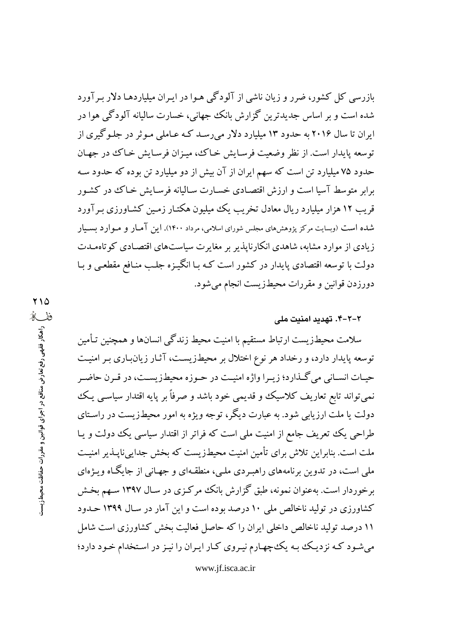بازرسی کل کشور، ضرر و زیان ناشی از آلودگی هـوا در ایـران میلیاردهـا دلار بـرآورد شده است و بر اساس جدیدترین گزارش بانک جهانبی، خسارت سالیانه آلودگی هوا در ایران تا سال ۲۰۱۶ به حدود ۱۳ میلیارد دلار میرسد کـه عـاملی مـوثر در جلـوگیری از توسعه پايدار است. از نظر وضعيت فرسـايش خـاك، ميـزان فرسـايش خـاك در جهـان حدود ۷۵ میلیارد تن است که سهم ایران از آن بیش از دو میلیارد تن بوده که حدود سـه برابر متوسط آسیا است و ارزش اقتصادی خسارت سالیانه فرسایش خـاک در کشـور قریب ۱۲ هزار میلیارد ریال معادل تخریب یک میلیون هکتـار زمـین کشـاورزی بـر آورد شده است (وبسایت مرکز پژوهشهای مجلس شورای اسلامی، مرداد ۱۴۰۰). این آمـار و مـوارد بسـیار زیادی از موارد مشابه، شاهدی انکارناپذیر بر مغایرت سیاستهای اقتصـادی کوتاهمـدت دولت با توسعه اقتصادی پایدار در کشور است کـه بـا انگیـزه جلـب منـافع مقطعـی و بـا دورزدن قوانین و مقررات محیطزیست انجام میشود.

## ۲-۲-۴. تهدید امنیت ملی

سلامت محیطزیست ارتباط مستقیم با امنیت محیط زندگی انسانها و همچنین تـأمین توسعه پایدار دارد، و رخداد هر نوع اختلال بر محیطزیست، آثـار زیانبـاری بـر امنیـت حيــات انســاني مي گــذارد؛ زيــرا واژه امنيــت در حــوزه محيطـزيســت، در قــرن حاضــر نمبي تواند تابع تعاريف كلاسيك و قديمي خود باشد و صرفاً بر پايه اقتدار سياسـي يـك دولت یا ملت ارزیابی شود. به عبارت دیگر، توجه ویژه به امور محیطزیست در راسـتای طراحی یک تعریف جامع از امنیت ملی است که فراتر از اقتدار سیاسی یک دولت و یـا ملت است. بنابراین تلاش برای تأمین امنیت محیطـزیست که بخش جدایی،ناپــذیر امنیــت ملي است، در تدوين برنامههاي راهبـردي ملـي، منطقـهاي و جهـاني از جايگـاه ويـژهاي برخوردار است. بهعنوان نمونه، طبق گزارش بانک مرکزی در سـال ۱۳۹۷ سـهم بخـش کشاورزی در تولید ناخالص ملی ۱۰ درصد بوده است و این آمار در سال ۱۳۹۹ حـدود ۱۱ درصد تولید ناخالص داخلی ایران را که حاصل فعالیت بخش کشاورزی است شامل می شود کـه نزدیـک بـه یک چهـارم نیـروی کـار ایـران را نیـز در اسـتخدام خـود دارد؛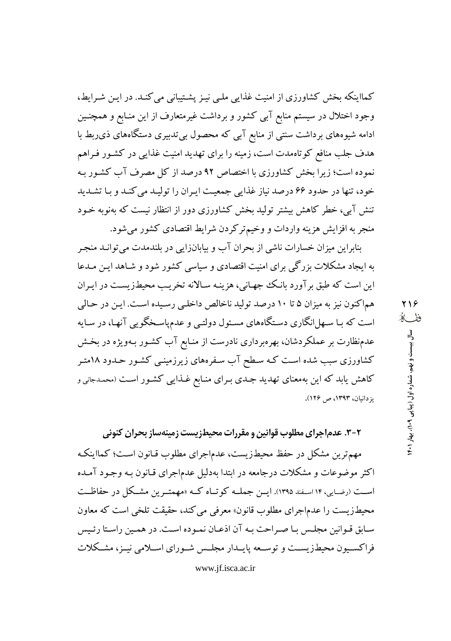کمااینکه بخش کشاورزی از امنیت غذایی ملبی نیـز پشـتیبانی می کنـد. در ایـن شـرایط، وجود اختلال در سیستم منابع آبی کشور و برداشت غیرمتعارف از این منـابع و همچنـین ادامه شیوههای برداشت سنتی از منابع آبی که محصول بی تدبیری دستگاههای ذی ربط با هدف جلب منافع کوتاهمدت است، زمینه را برای تهدید امنیت غذایی در کشـور فـراهم نموده است؛ زیرا بخش کشاورزی با اختصاص ۹۲ درصد از کل مصرف آب کشـور بـه خود، تنها در حدود ۶۶ درصد نیاز غذایی جمعیت ایران را تولید می کند و با تشدید تنش آبی، خطر کاهش بیشتر تولید بخش کشاورزی دور از انتظار نیست که بهنوبه خـود منجر به افزایش هزینه واردات و وخیم ترکردن شرایط اقتصادی کشور میشود.

بنابراین میزان خسارات ناشی از بحران آب و بیابانزایی در بلندمدت می توانـد منجـر به ایجاد مشکلات بزرگی برای امنیت اقتصادی و سیاسی کشور شود و شـاهد ایـن مـدعا این است که طبق بر آورد بانک جهـانی، هزینـه سـالانه تخریـب محیطـزیسـت در ایـران هماکنون نیز به میزان ۵ تا ۱۰ درصد تولید ناخالص داخلبی رسیده است. این در حالی است که بـا سـهلانگاري دسـتگاههاي مسـئول دولتـي و عدمپاسـخگويي آنهـا، در سـايه عدمنظارت بر عملکردشان، بهرهبرداری نادرست از منـابع آب کشـور بـهویژه در بخـش کشاورزی سبب شده است کـه سـطح آب سـفرههای زیرزمینـی کشـور حـدود ۱۸متـر کاهش یابد که این بهمعنای تهدید جـدی بـرای منـابع غـذایبی کشـور اسـت (محمـدجانی و یزدانیان، ۱۳۹۳، ص ۱۲۶).

۲-۳. عدم|جرای مطلوب قوانین و مقررات محیطزیست زمینهساز بحران کنونی

مهمترین مشکل در حفظ محیطزیست، عدماجرای مطلوب قـانون اسـت؛ کمااینکـه اکثر موضوعات و مشکلات درجامعه در ابتدا بهدلیل عدماجرای قـانون بـه وجـود آمـده است (رضایی، ۱۴ اسفند ۱۳۹۵). ایس جمله کوتاه کـه «مهمتـرین مشـکل در حفاظـت محیطزیست را عدماجرای مطلوب قانون» معرفی می کند، حقیقت تلخی است که معاون سـابق قـوانين مجلـس بـا صـراحت بـه آن اذعـان نمـوده اسـت. در همـين راسـتا رئـيس فراکسـیون محیطـزیسـت و توسـعه پایــدار مجلــس شــورای اســلامی نیــز، مشــکلات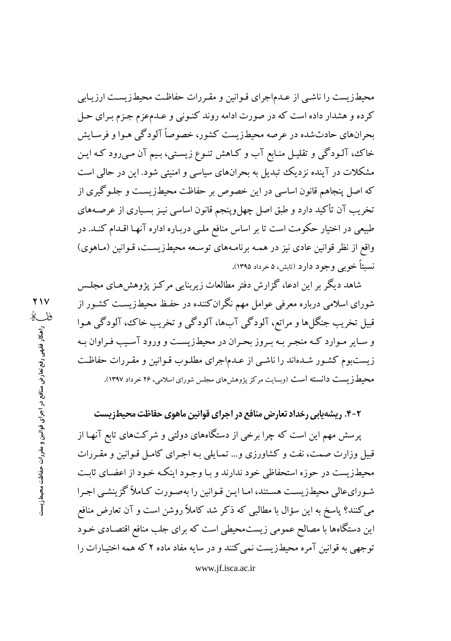محیطزیست را ناشبی از عـدماجرای قـوانین و مقـررات حفاظـت محیطزیسـت ارزیـابی کرده و هشدار داده است که در صورت ادامه روند کنـونی و عـدمعزم جـزم بـرای حـل بحرانهای حادثشده در عرصه محیطزیست کشور، خصوصاً آلودگی هـوا و فرسـایش خاک، آلـودگی و تقلیـل منـابع آب و کـاهش تنـوع زیسـتی، بـیم آن مـیرود کـه ایـن مشکلات در آینده نزدیک تبدیل به بحرانهای سیاسی و امنیتی شود. این در حالی است که اصل پنجاهم قانون اساسی در این خصوص بر حفاظت محیطزیست و جلـوگیری از تخریب آن تأکید دارد و طبق اصل چهلوینجم قانون اساسی نیـز بسـیاری از عرصـههای طبیعی در اختیار حکومت است تا بر اساس منافع ملـی دربـاره اداره آنهـا اقـدام کنـد. در واقع از نظر قوانین عادی نیز در همـه برنامـههای توسـعه محیطزیسـت، قـوانین (مـاهوی) نسبتاً خويبي وجود دارد (تابش، ۵ خرداد ۱۳۹۵).

شاهد دیگر بر این ادعا، گزارش دفتر مطالعات زیربنایی مرکـز پژوهش۵مـای مجلـس شورای اسلامی درباره معرفی عوامل مهم نگران کننده در حفـظ محیطـزیسـت کشـور از قبیل تخریب جنگلها و مراتع، آلودگی آبها، آلودگی و تخریب خاک، آلودگی هـوا و سـاير مـوارد كـه منجـر بـه بـروز بحـران در محيطـزيسـت و ورود آسـيب فـراوان بـه زیستبوم کشور شدهاند را ناشبی از عـدماجرای مطلـوب قـوانین و مقـررات حفاظـت محیطـزیست دانسته است (وبسایت مرکز پژوهشهای مجلس شورای اسلامی، ۲۶ خرداد ۱۳۹۷).

**۲-۴. ریشهیابی رخداد تعارض منافع در اجرای قوانین ماهوی حفاظت محیطزیست** 

پرسش مهم این است که چرا برخی از دستگاههای دولتی و شرکتهای تابع آنهـا از قبیل وزارت صمت، نفت و کشاورزی و… تمـایلی بـه اجـرای کامـل قـوانین و مقـررات محیطزیست در حوزه استحفاظی خود ندارند و بـا وجـود اینکـه خـود از اعضـای ثابـت شـورایءالی محیطزیسـت هسـتند، امـا ایـن قـوانین را بهصـورت كـاملاً گزینشـی اجـرا می کنند؟ پاسخ به این سؤال با مطالبی که ذکر شد کاملاً روشن است و آن تعارض منافع این دستگاهها با مصالح عمومی زیستمحیطی است که برای جلب منافع اقتصادی خـود توجهي به قوانين آمره محيطزيست نمي كنند و در سايه مفاد ماده ۲ كه همه اختيـارات را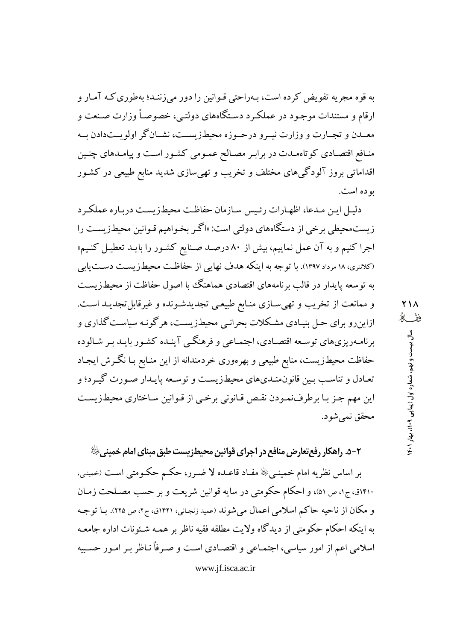به قوه مجریه تفویض کرده است، بـهراحتی قـوانین را دور می;زننـد؛ بهطوری کـه آمـار و ارقام و مستندات موجـود در عملکـرد دسـتگاههای دولتـی، خصوصـاً وزارت صـنعت و معــدن و تجــارت و وزارت نيــرو درحــوزه محيطزيســت، نشــانگر اولويــتدادن بــه منافع اقتصادی کوتاهمدت در برابر مصالح عمومی کشور است و پیامدهای چنین اقداماتی بروز آلودگیهای مختلف و تخریب و تهی سازی شدید منابع طبیعی در کشـور بو ده است.

دليل اين مـدعا، اظهـارات رئـيس سـازمان حفاظـت محيطـزيسـت دربـاره عملكـرد زیست.محیطی برخی از دستگاههای دولتی است: «اگر بخواهیم قـوانین محیطـزیسـت را اجرا کنیم و به آن عمل نماییم، بیش از ۸۰ درصـد صـنایع کشـور را بایـد تعطیـل کنـیم» (کلانتری، ۱۸ مرداد ۱۳۹۷). با توجه به اینکه هدف نهایی از حفاظت محیطزیست دست یابی به توسعه پایدار در قالب برنامههای اقتصادی هماهنگ با اصول حفاظت از محیطزیست و ممانعت از تخریب و تهیسازی منـابع طبیعـی تجدیدشـونده و غیرقابلتحدیـد اسـت. ازاینرو برای حـل بنیـادی مشـکلات بحرانـی محیطـزیسـت، هرگونـه سیاسـت گذاری و برنامـهریزیهای توسـعه اقتصـادی، اجتمـاعی و فرهنگـی آینـده کشـور بایـد بـر شـالوده حفاظت محیطزیست، منابع طبیعی و بهرهوری خردمندانه از این منـابع بـا نگـرش ایجـاد تعـادل و تناسـب بـین قانون.منـدیهای محیطـزیسـت و توسـعه پایـدار صـورت گیـرد؛ و این مهم جـز بـا برطرفِنمـودن نقـص قـانونی برخـی از قـوانین سـاختاری محیطـزیسـت محقق نمي شو د.

**۲-۵. راهکار رفعتعارض منافع در اجرای قوانین محیط**زیست طبق مبنای امام خمین*ی ﴿* ﴾

بر اساس نظریه امام خمینـیﷺ مفـاد قاعـده لا ضـرر، حکـم حکـومتی اسـت (حمینـی، ۱۴۱۰ق، ج۱، ص ۵۱)، و احکام حکومتی در سایه قوانین شریعت و بر حسب مصلحت زمـان و مکان از ناحیه حاکم اسلامی اعمال میشوند (عمید زنجانی، ۱۴۲۱ق، ج۲، ص ۲۲۵). بـا توجـه به اینکه احکام حکومتی از دیدگاه ولایت مطلقه فقیه ناظر بر همـه شـئونات اداره جامعـه اسلامی اعم از امور سیاسی، اجتمـاعی و اقتصـادی اسـت و صـرفاً نـاظر بـر امـور حسـییه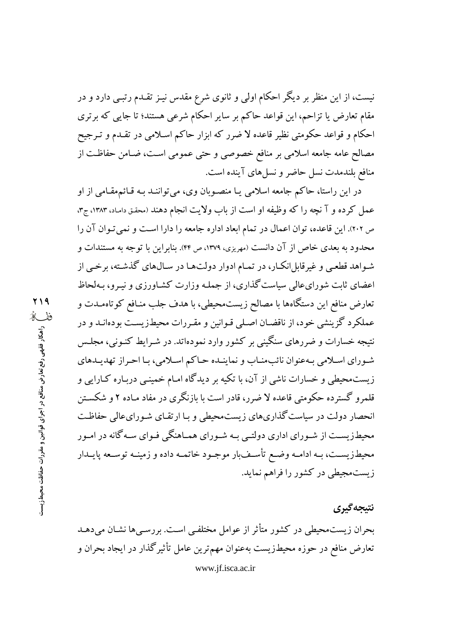نیست، از این منظر بر دیگر احکام اولی و ثانوی شرع مقدس نیـز تقـدم رتبـی دارد و در مقام تعارض یا تزاحم، این قواعد حاکم بر سایر احکام شرعی هستند؛ تا جایبی که برتری احکام و قواعد حکومتی نظیر قاعده لا ضرر که ابزار حاکم اسـلامی در تقـدم و تـرجیح مصالح عامه جامعه اسلامی بر منافع خصوصی و حتی عمومی است، ضـامن حفاظت از منافع بلندمدت نسل حاضر و نسل های آینده است.

در این راستا، حاکم جامعه اسلامی یـا منصـوبان وی، میتواننـد بـه قـائم.مقـامی از او عمل کرده و آ نچه را که وظیفه او است از باب ولایت انجام دهند (محقق داماد، ۱۳۸۳، ج۳، ص ٢٠٢). اين قاعده، توان اعمال در تمام ابعاد اداره جامعه را دارا است و نمي تـوان آن را محدود به بعدی خاص از آن دانست (مهریزی، ۱۳۷۹، ص ۴۴). بنابراین با توجه به مستندات و شـواهد قطعـي و غيرقابلانكـار، در تمـام ادوار دولتهـا در سـالهاي گذشـته، برخـي از اعضای ثابت شورایءالی سیاست گذاری، از جملـه وزارت کشـاورزی و نیـرو، بـهلحاظ تعارض منافع این دستگاهها با مصالح زیستمحیطی، با هدف جلب منـافع کوتاهمـدت و عملکرد گزینشی خود، از ناقضان اصلی قـوانین و مقـررات محیطـزیسـت بودهانــد و در نتیجه خسارات و ضررهای سنگینی بر کشور وارد نمودهاتد. در شـرایط کنـونی، مجلـس شـوراي اسـلامي بـهعنوان نائبمنـاب و نماينـده حـاكم اسـلامي، بـا احـراز تهديـدهاي زیست.حیطی و خسارات ناشی از آن، با تکیه بر دیدگاه امـام خمینـی دربـاره کـارایی و قلمرو گسترده حکومتی قاعده لا ضرر، قادر است با بازنگری در مفاد مـاده ۲ و شکسـتن انحصار دولت در سیاست گذاریهای زیستمحیطی و بـا ارتقـای شـورایءالی حفاظـت محیطزیسـت از شـورای اداری دولتـی بـه شـورای همـاهنگی فـوای سـه گانه در امـور محیطزیســت، بــه ادامــه وضــع تأســفبار موجــود خاتمــه داده و زمینــه توســعه پایــدار زیستمجیطی در کشور را فراهم نماید.

# نتيجه گيري

بحران زیست.محیطی در کشور متأثر از عوامل مختلفی است. بررسبی ها نشـان می دهـد تعارض منافع در حوزه محیطزیست بهعنوان مهمترین عامل تأثیرگذار در ایجاد بحران و www.jf.isca.ac.ir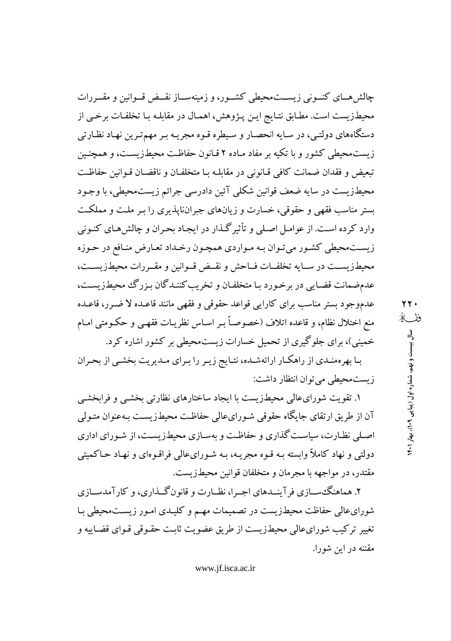چالش هسای کنسونی زیســتمحیطی کشــور، و زمینهســاز نقــض قــوانین و مقــررات محیطزیست است. مطابق نتایج ایـن پـژوهش، اهمـال در مقابلـه بـا تخلفـات برخـی از دستگاههای دولتبی، در سـایه انحصـار و سـیطره قـوه مجریـه بـر مهمترین نهـاد نظـارتی زیست محیطی کشور و با تکبه بر مفاد میاده ۲ قیانون حفاظت محیطزیست، و همچنین تبعيض و فقدان ضمانت كافي قيانوني در مقابلـه بـا متخلفـان و ناقضـان قـوانين حفاظـت محیطزیست در سایه ضعف قوانین شکلی آئین دادرسی جرائم زیستمحیطی، با وجـود بستر مناسب فقهی و حقوقی، خسارت و زیانهای جبرانناپذیری را بـر ملـت و مملکـت وارد کرده است. از عوامـل اصـلـی و تأثیرگـذار در ایجـاد بحـران و چالش۵مـای کنـونی زیست،محیطی کشور میتوان بـه مـواردي همچـون رخـداد تعـارض منـافع در حـوزه محيطزيســت در ســايه تخلفــات فــاحش و نقــض قــوانين و مقــررات محيطزيســت، عدمضمانت قضایی در برخورد با متخلفان و تخریب کننـدگان بـزرگ محیطـزیسـت، عدموجود بستر مناسب براي كارايي قواعد حقوقي و فقهي مانند قاعـده لا ضـرر، قاعـده منع اختلال نظام، و قاعده اتلاف (خصوصـاً بـر اسـاس نظريـات فقهـي و حكـومتي امـام خمینی)، برای جلوگیری از تحمیل خسارات زیستمحیطی بر کشور اشاره کرد.

بـا بهرهمنـدي از راهكـار ارائهشـده، نتـايج زيـر را بـراي مـديريت بخشـي از بحـران زيست محيطي مي توان انتظار داشت:

۱. تقویت شورایءالی محیطزیست با ایجاد ساختارهای نظارتی بخشـی و فرابخشـی آن از طریق ارتقای جایگاه حقوقی شـورایءالی حفاظت محیطـزیسـت بـهعنوان متـولی اصلی نظارت، سیاست گذاری و حفاظت و بهسـازی محیطـزیسـت، از شـورای اداری دولتی و نهاد کاملاً وابسته بـه قـوه مجریـه، بـه شـورایعالی فراقـوهای و نهـاد حـاکمیتی مقتدر، در مواجهه با مجرمان و متخلفان قوانین محیطزیست.

۲. هماهنگ سازی فر آینـدهای اجـرا، نظـارت و قانون گــذاری، و کارآمدســازی شورایعالی حفاظت محیطزیست در تصمیمات مهـم و کلیـدی امـور زیسـتمحیطی بـا تغییر ترکیب شورای عالی محیطزیست از طریق عضویت ثابت حقبوقی قبوای قضاییه و مقننه در این شورا.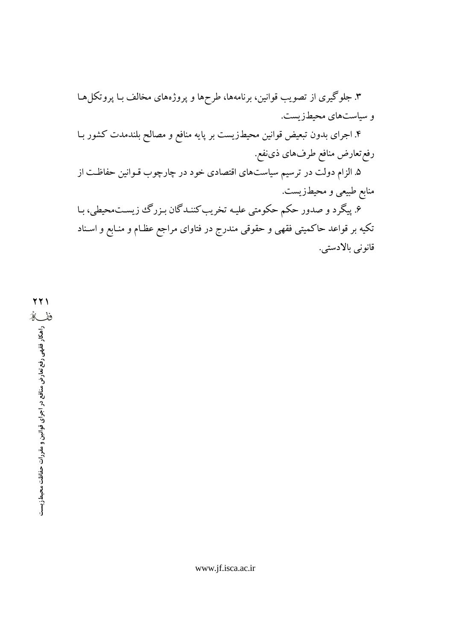۳. جلوگیری از تصویب قوانین، برنامهها، طرحها و پروژههای مخالف بـا پروتکلهـا و سیاستهای محیطزیست.

۴. اجرای بدون تبعیض قوانین محیطزیست بر پایه منافع و مصالح بلندمدت کشور بـا رفع تعارض منافع طرفهاي ذي نفع.

۵. الزام دولت در ترسیم سیاستهای اقتصادی خود در چارچوب قـوانین حفاظـت از منابع طبیعی و محیطزیست.

۶. پیگرد و صدور حکم حکومتی علیه تخریب کننـدگان بـزرگ زیسـت.محیطی، بـا تکیه بر قواعد حاکمیتی فقهی و حقوقی مندرج در فتاوای مراجع عظـام و منـابع و اسـناد قانونى بالادستى.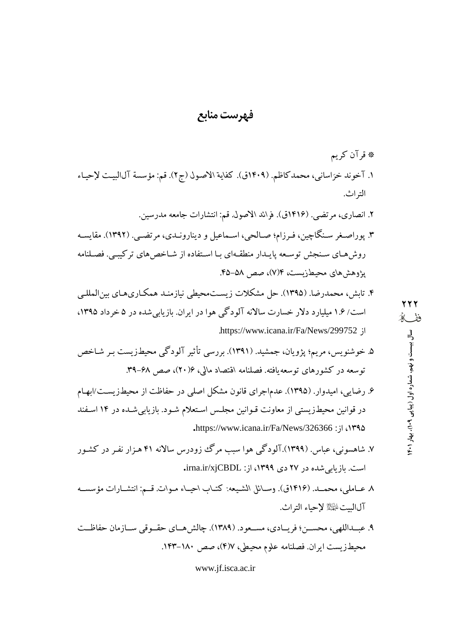# فهرست منابع

- ۶. رضایی، امیدوار. (۱۳۹۵). عدماجرای قانون مشکل اصلی در حفاظت از محیطزیست/ابهـام در قوانین محیطزیستی از معاونت قـوانین مجلـس اسـتعلام شـود. بازیابیشـده در ۱۴ اسـفند .https://www.icana.ir/Fa/News/326366 : jl (1۳۹۵
- ۷. شاهسونی، عباس. (۱۳۹۹).آلودگی هوا سبب مرگ ززودرس سالانه ۴۱ هـزار نفـر در کشـور است. بازیابی شده در ۲۷ دی ۱۳۹۹، از: irna.ir/xjCBDL.
- ٨ عــاملي، محمــد. (١٤١۶ق). وســائل الشـيعه: كتــاب احيــاء مـوات. قــم: انتشــارات مؤسســه آلالست الصلاح لإحباء التراث.
- ۹. عبداللهي، محسـن؛ فريـادي، مسـعود. (١٣٨٩). چالش هـاي حقـوقي سـازمان حفاظـت محيطـزيست ايران. فصلنامه علوم محيطي، ١٧(٣)، صص ١٨٠-١٤٣.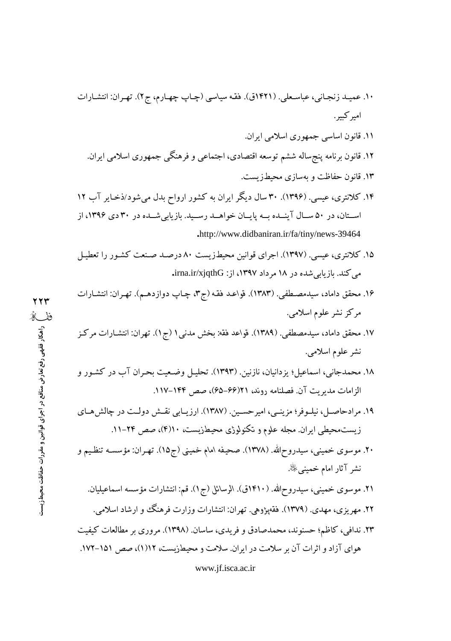- ۱۰. عمیـد زنجـانی، عباسـعلی. (۱۴۲۱ق). فقـه سیاسی (چـاپ چهـارم، ج۲). تهـران: انتشـارات امير کبير .
	- ١١. قانون اساسي جمهوري اسلامي ايران.
	- ۱۲. قانون برنامه پنجساله ششم توسعه اقتصادی، اجتماعی و فرهنگی جمهوری اسلامی ایران.
		- ۱۳. قانون حفاظت و بهسازی محیطزیست.
- ۱۴. کلانتری، عیسی. (۱۳۹۶). ۳۰ سال دیگر ایران به کشور ارواح بدل می شود/ذخـایر آب ۱۲ اســتان، در ۵۰ ســال آينــده بــه پايــان خواهــد رســيد. بازيابيشــده در ۳۰ دی ۱۳۹۶، از .http://www.didbaniran.ir/fa/tiny/news-39464
- ۱۵. کلانتری، عیسی. (۱۳۹۷). اجرای قوانین محیطزیست ۸۰ درصـد صـنعت کشـور را تعطیـل می کند. بازیابی شده در ۱۸ مرداد ۱۳۹۷، از: irna.ir/xjqthG.
- ۱۶. محقق داماد، سیدمصطفی. (۱۳۸۳). قواعد فقه (ج۳، چـاپ دوازدهـم). تهـران: انتشـارات مرکز نشر علوم اسلامی.
- ١٧. محقق داماد، سيدمصطفى. (١٣٨٩). قواعد فقه: بخش مدنى ١ (ج١). تهران: انتشارات مركز نشر علوم اسلامي.
- ۱۸. محمدجانبی، اسماعیل؛ یزدانیان، نازنین. (۱۳۹۳). تحلیـل وضـعیت بحـران آب در کشـور و الزامات مديريت آن. فصلنامه روند، ٢١(۶۶–۶۵)، صص ١۴۴–١١٧.
- ۱۹. مرادحاصـل، نیلـوفر؛ مزینـی، امیرحسـین. (۱۳۸۷). ارزیـابی نقـش دولـت در چالش۱صی زیست.محیطی ایران. مجله علوم و تکنولوژی محیطزیست، ۱۰(۴)، صص ۲۴–۱۱.
- ۲۰. موسوی خمینی، سیدروح\لله. (۱۳۷۸). صحیفه امام خمینی (ج۱۵). تهـران: مؤسسـه تنظـیـم و نشر آثار امام خمینبیﷺ.
	- ۲۱. موسوی خمینی، سیدروح\لله. (۱۴۱۰ق). الرسائل (ج۱). قم: انتشارات مؤسسه اسماعیلیان. ۲۲. مهریزی، مهدی. (۱۳۷۹). فقهیژوهی. تهران: انتشارات وزارت فرهنگ و ارشاد اسلامی.
- ۲۳. ندافی، کاظم؛ حسنوند، محمدصادق و فریدی، ساسان. (۱۳۹۸). مروری بر مطالعات کیفیت هوای آزاد و اثرات آن بر سلامت در ایران. سلامت و محیطزیست، ۱۲(۱)، صص ۱۵۱–۱۷۲.

www.jf.isca.ac.ir

**YYY** ففكة راهکار فقهی رفع تعارض منافع در اجرای قوانین و مقررات حفاظت محیطزیست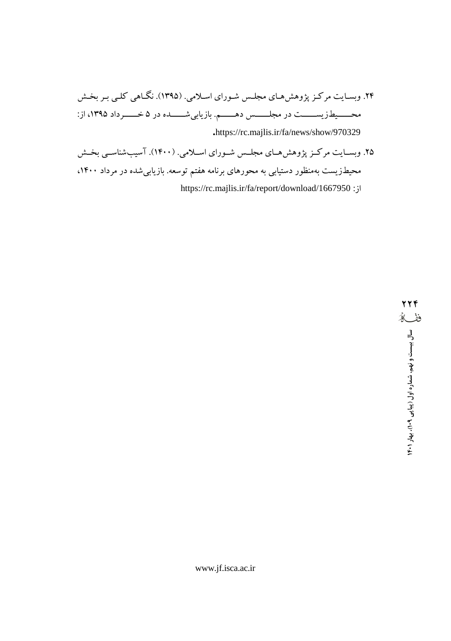- ۲۴. وبسایت مرکز پژوهش های مجلس شـورای اسـلامی. (۱۳۹۵). نگـاهی کلـی بـر بخـش محـــــیطـزیســــــت در مجلــــــس دهـــــــم. بازیابیشــــــــده در ۵ خــــــرداد ۱۳۹۵، از: .https://rc.majlis.ir/fa/news/show/970329
- ۲۵. وبسـایت مرکـز پژوهش،حـای مجلـس شـورای اسـلامی. (۱۴۰۰). آسیبشناسـی بخـش محیطزیست بهمنظور دستیابی به محورهای برنامه هفتم توسعه. بازیابیشده در مرداد ۱۴۰۰، https://rc.majlis.ir/fa/report/download/1667950 :jl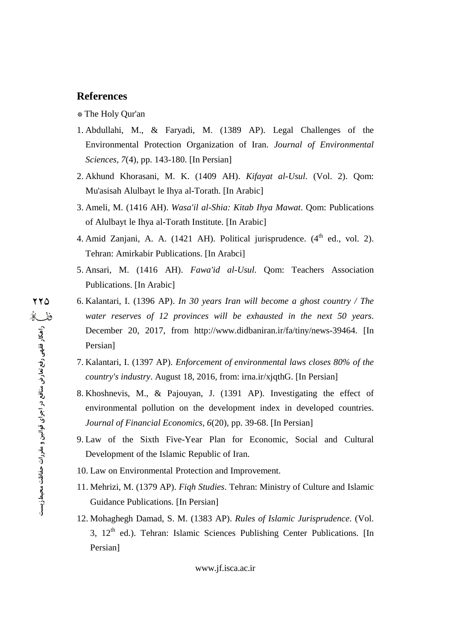#### \* The Holy Qur'an

- 1. Abdullahi, M., & Faryadi, M. (1389 AP). Legal Challenges of the Environmental Protection Organization of Iran. *Journal of Environmental Sciences, 7*(4), pp. 143-180. [In Persian]
- 2. Akhund Khorasani, M. K. (1409 AH). *Kifayat al-Usul*. (Vol. 2). Qom: Mu'asisah Alulbayt le Ihya al-Torath. [In Arabic]
- 3. Ameli, M. (1416 AH). *Wasa'il al-Shia: Kitab Ihya Mawat*. Qom: Publications of Alulbayt le Ihya al-Torath Institute. [In Arabic]
- 4. Amid Zanjani, A. A. (1421 AH). Political jurisprudence.  $(4^{th}$  ed., vol. 2). Tehran: Amirkabir Publications. [In Arabci]
- 5. Ansari, M. (1416 AH). *Fawa'id al-Usul*. Qom: Teachers Association Publications. [In Arabic]
- **References**<br>
\* The Holy Qur'an<br>
1. Abdullahi, M., &<br>
Environmental Prot<br> *Sciences*, 7(4), pp. 1<br>
2. Akhund Khorasani,<br>
Mu'asisah Alulbayt<br>
3. Ameli, M. (1416 Al<br>
of Alulbayt le Ihya a<br>
4. Amid Zanjani, A.<br>
Tehran: Amirka 6. Kalantari, I. (1396 AP). *In 30 years Iran will become a ghost country / The water reserves of 12 provinces will be exhausted in the next 50 years*. December 20, 2017, from <http://www.didbaniran.ir/fa/tiny/news-39464.> [In Persian]
	- 7. Kalantari, I. (1397 AP). *Enforcement of environmental laws closes 80% of the country's industry*. August 18, 2016, from: irna.ir/xjqthG. [In Persian]
	- 8. Khoshnevis, M., & Pajouyan, J. (1391 AP). Investigating the effect of environmental pollution on the development index in developed countries. *Journal of Financial Economics, 6*(20), pp. 39-68. [In Persian]
	- 9. Law of the Sixth Five-Year Plan for Economic, Social and Cultural Development of the Islamic Republic of Iran.
	- 10. Law on Environmental Protection and Improvement.
	- 11. Mehrizi, M. (1379 AP). *Fiqh Studies*. Tehran: Ministry of Culture and Islamic Guidance Publications. [In Persian]
	- 12. Mohaghegh Damad, S. M. (1383 AP). *Rules of Islamic Jurisprudence*. (Vol. 3, 12<sup>th</sup> ed.). Tehran: Islamic Sciences Publishing Center Publications. [In Persian]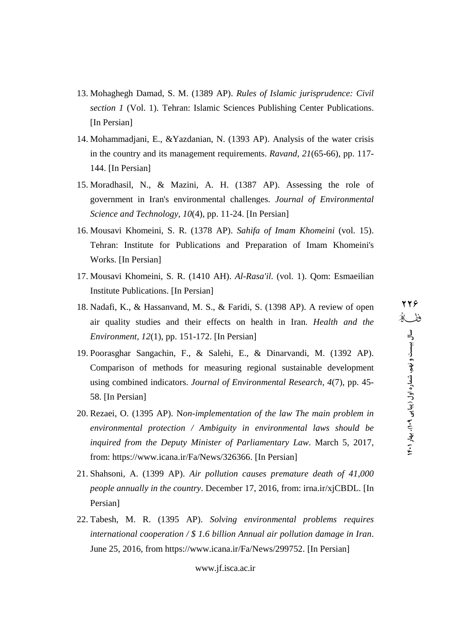- 13. Mohaghegh Damad, S. M. (1389 AP). *Rules of Islamic jurisprudence: Civil section 1* (Vol. 1). Tehran: Islamic Sciences Publishing Center Publications. [In Persian]
- 14. Mohammadjani, E., &Yazdanian, N. (1393 AP). Analysis of the water crisis in the country and its management requirements. *Ravand*, *21*(65-66), pp. 117- 144. [In Persian]
- 15. Moradhasil, N., & Mazini, A. H. (1387 AP). Assessing the role of government in Iran's environmental challenges. *Journal of Environmental Science and Technology, 10*(4), pp. 11-24. [In Persian]
- 16. Mousavi Khomeini, S. R. (1378 AP). *Sahifa of Imam Khomeini* (vol. 15). Tehran: Institute for Publications and Preparation of Imam Khomeini's Works. [In Persian]
- 17. Mousavi Khomeini, S. R. (1410 AH). *Al-Rasa'il*. (vol. 1). Qom: Esmaeilian Institute Publications. [In Persian]
- 18. Nadafi, K., & Hassanvand, M. S., & Faridi, S. (1398 AP). A review of open air quality studies and their effects on health in Iran. *Health and the Environment, 12*(1), pp. 151-172. [In Persian]
- 19. Poorasghar Sangachin, F., & Salehi, E., & Dinarvandi, M. (1392 AP). Comparison of methods for measuring regional sustainable development using combined indicators. *Journal of Environmental Research, 4*(7), pp. 45- 58. [In Persian]
- 20. Rezaei, O. (1395 AP). N*on-implementation of the law The main problem in environmental protection / Ambiguity in environmental laws should be inquired from the Deputy Minister of Parliamentary Law*. March 5, 2017, from: <https://www.icana.ir/Fa/News/326366.> [In Persian]
- 21. Shahsoni, A. (1399 AP). *Air pollution causes premature death of 41,000 people annually in the country*. December 17, 2016, from: irna.ir/xjCBDL. [In Persian]
- 22. Tabesh, M. R. (1395 AP). *Solving environmental problems requires international cooperation / \$ 1.6 billion Annual air pollution damage in Iran*. June 25, 2016, from <https://www.icana.ir/Fa/News/299752.> [In Persian]